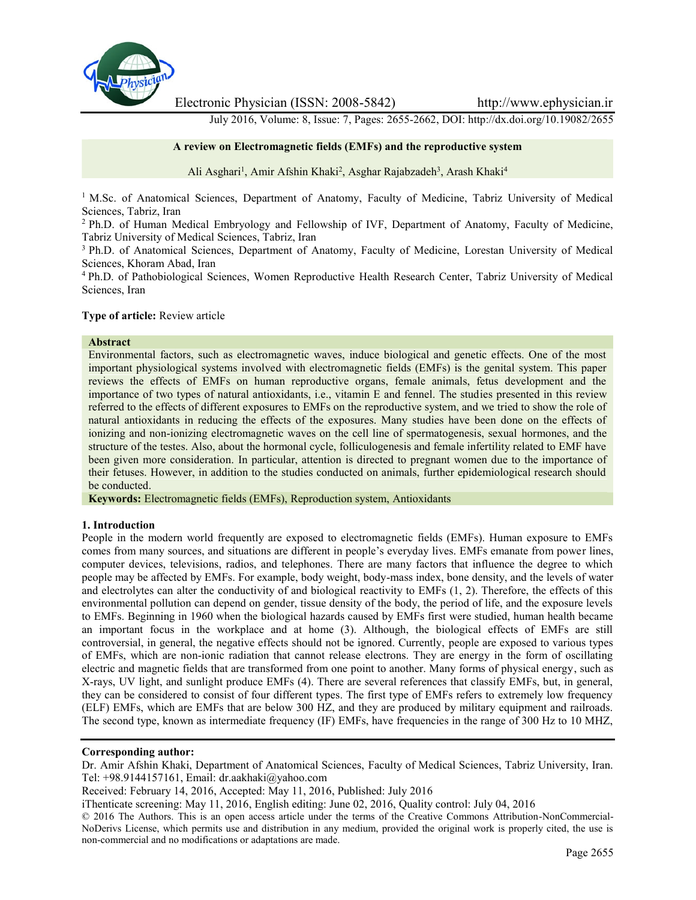

Electronic Physician (ISSN: 2008-5842) http://www.ephysician.ir

July 2016, Volume: 8, Issue: 7, Pages: 2655-2662, DOI: http://dx.doi.org/10.19082/2655

## **A review on Electromagnetic fields (EMFs) and the reproductive system**

Ali Asghari<sup>1</sup>, Amir Afshin Khaki<sup>2</sup>, Asghar Rajabzadeh<sup>3</sup>, Arash Khaki<sup>4</sup>

<sup>1</sup> M.Sc. of Anatomical Sciences, Department of Anatomy, Faculty of Medicine, Tabriz University of Medical Sciences, Tabriz, Iran

<sup>2</sup> Ph.D. of Human Medical Embryology and Fellowship of IVF, Department of Anatomy, Faculty of Medicine, Tabriz University of Medical Sciences, Tabriz, Iran

<sup>3</sup> Ph.D. of Anatomical Sciences, Department of Anatomy, Faculty of Medicine, Lorestan University of Medical Sciences, Khoram Abad, Iran

<sup>4</sup> Ph.D. of Pathobiological Sciences, Women Reproductive Health Research Center, Tabriz University of Medical Sciences, Iran

#### **Type of article:** Review article

#### **Abstract**

Environmental factors, such as electromagnetic waves, induce biological and genetic effects. One of the most important physiological systems involved with electromagnetic fields (EMFs) is the genital system. This paper reviews the effects of EMFs on human reproductive organs, female animals, fetus development and the importance of two types of natural antioxidants, i.e., vitamin E and fennel. The studies presented in this review referred to the effects of different exposures to EMFs on the reproductive system, and we tried to show the role of natural antioxidants in reducing the effects of the exposures. Many studies have been done on the effects of ionizing and non-ionizing electromagnetic waves on the cell line of spermatogenesis, sexual hormones, and the structure of the testes. Also, about the hormonal cycle, folliculogenesis and female infertility related to EMF have been given more consideration. In particular, attention is directed to pregnant women due to the importance of their fetuses. However, in addition to the studies conducted on animals, further epidemiological research should be conducted.

**Keywords:** Electromagnetic fields (EMFs), Reproduction system, Antioxidants

#### **1. Introduction**

People in the modern world frequently are exposed to electromagnetic fields (EMFs). Human exposure to EMFs comes from many sources, and situations are different in people's everyday lives. EMFs emanate from power lines, computer devices, televisions, radios, and telephones. There are many factors that influence the degree to which people may be affected by EMFs. For example, body weight, body-mass index, bone density, and the levels of water and electrolytes can alter the conductivity of and biological reactivity to EMFs (1, 2). Therefore, the effects of this environmental pollution can depend on gender, tissue density of the body, the period of life, and the exposure levels to EMFs. Beginning in 1960 when the biological hazards caused by EMFs first were studied, human health became an important focus in the workplace and at home (3). Although, the biological effects of EMFs are still controversial, in general, the negative effects should not be ignored. Currently, people are exposed to various types of EMFs, which are non-ionic radiation that cannot release electrons. They are energy in the form of oscillating electric and magnetic fields that are transformed from one point to another. Many forms of physical energy, such as X-rays, UV light, and sunlight produce EMFs (4). There are several references that classify EMFs, but, in general, they can be considered to consist of four different types. The first type of EMFs refers to extremely low frequency (ELF) EMFs, which are EMFs that are below 300 HZ, and they are produced by military equipment and railroads. The second type, known as intermediate frequency (IF) EMFs, have frequencies in the range of 300 Hz to 10 MHZ,

## **Corresponding author:**

Dr. Amir Afshin Khaki, Department of Anatomical Sciences, Faculty of Medical Sciences, Tabriz University, Iran. Tel: +98.9144157161, Email: dr.aakhaki@yahoo.com

Received: February 14, 2016, Accepted: May 11, 2016, Published: July 2016

iThenticate screening: May 11, 2016, English editing: June 02, 2016, Quality control: July 04, 2016

© 2016 The Authors. This is an open access article under the terms of the Creative Commons Attribution-NonCommercial- NoDerivs License, which permits use and distribution in any medium, provided the original work is properly cited, the use is non-commercial and no modifications or adaptations are made.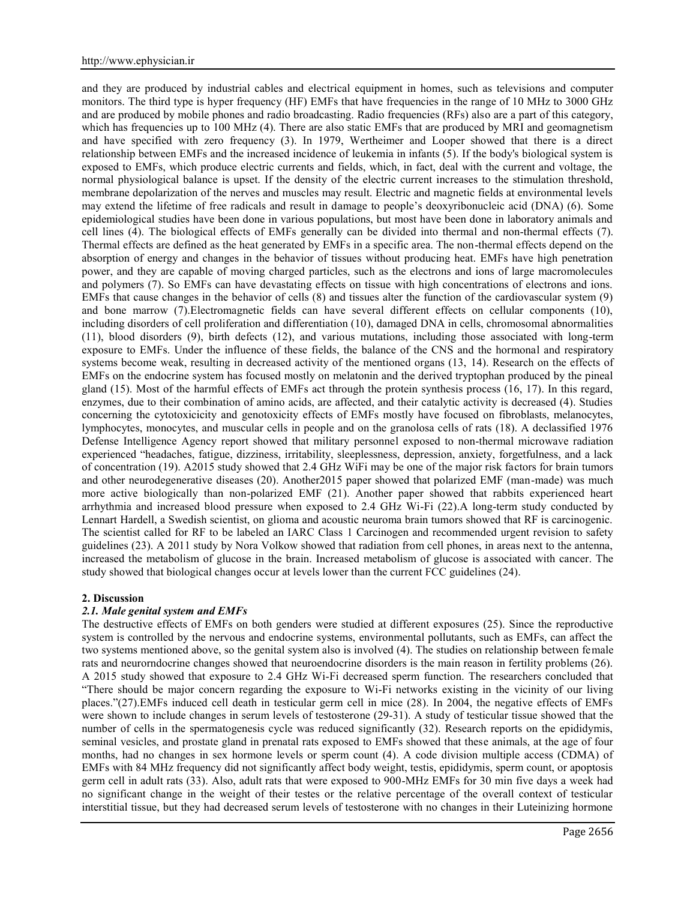and they are produced by industrial cables and electrical equipment in homes, such as televisions and computer monitors. The third type is hyper frequency (HF) EMFs that have frequencies in the range of 10 MHz to 3000 GHz and are produced by mobile phones and radio broadcasting. Radio frequencies (RFs) also are a part of this category, which has frequencies up to 100 MHz (4). There are also static EMFs that are produced by MRI and geomagnetism and have specified with zero frequency (3). In 1979, Wertheimer and Looper showed that there is a direct relationship between EMFs and the increased incidence of leukemia in infants (5). If the body's biological system is exposed to EMFs, which produce electric currents and fields, which, in fact, deal with the current and voltage, the normal physiological balance is upset. If the density of the electric current increases to the stimulation threshold, membrane depolarization of the nerves and muscles may result. Electric and magnetic fields at environmental levels may extend the lifetime of free radicals and result in damage to people's deoxyribonucleic acid (DNA) (6). Some epidemiological studies have been done in various populations, but most have been done in laboratory animals and cell lines (4). The biological effects of EMFs generally can be divided into thermal and non-thermal effects (7). Thermal effects are defined as the heat generated by EMFs in a specific area. The non-thermal effects depend on the absorption of energy and changes in the behavior of tissues without producing heat. EMFs have high penetration power, and they are capable of moving charged particles, such as the electrons and ions of large macromolecules and polymers (7). So EMFs can have devastating effects on tissue with high concentrations of electrons and ions. EMFs that cause changes in the behavior of cells (8) and tissues alter the function of the cardiovascular system (9) and bone marrow (7).Electromagnetic fields can have several different effects on cellular components (10), including disorders of cell proliferation and differentiation (10), damaged DNA in cells, chromosomal abnormalities (11), blood disorders (9), birth defects (12), and various mutations, including those associated with long-term exposure to EMFs. Under the influence of these fields, the balance of the CNS and the hormonal and respiratory systems become weak, resulting in decreased activity of the mentioned organs (13, 14). Research on the effects of EMFs on the endocrine system has focused mostly on melatonin and the derived tryptophan produced by the pineal gland (15). Most of the harmful effects of EMFs act through the protein synthesis process (16, 17). In this regard, enzymes, due to their combination of amino acids, are affected, and their catalytic activity is decreased (4). Studies concerning the cytotoxicicity and genotoxicity effects of EMFs mostly have focused on fibroblasts, melanocytes, lymphocytes, monocytes, and muscular cells in people and on the granolosa cells of rats (18). A declassified 1976 Defense Intelligence Agency report showed that military personnel exposed to non-thermal microwave radiation experienced "headaches, fatigue, dizziness, irritability, sleeplessness, depression, anxiety, forgetfulness, and a lack of concentration (19). A2015 study showed that 2.4 GHz WiFi may be one of the major risk factors for brain tumors and other neurodegenerative diseases (20). Another2015 paper showed that polarized EMF (man-made) was much more active biologically than non-polarized EMF (21). Another paper showed that rabbits experienced heart arrhythmia and increased blood pressure when exposed to 2.4 GHz Wi-Fi (22).A long-term study conducted by Lennart Hardell, a Swedish scientist, on glioma and acoustic neuroma brain tumors showed that RF is carcinogenic. The scientist called for RF to be labeled an IARC Class 1 Carcinogen and recommended urgent revision to safety guidelines (23). A 2011 study by Nora Volkow showed that radiation from cell phones, in areas next to the antenna, increased the metabolism of glucose in the brain. Increased metabolism of glucose is associated with cancer. The study showed that biological changes occur at levels lower than the current FCC guidelines (24).

#### **2. Discussion**

## *2.1. Male genital system and EMFs*

The destructive effects of EMFs on both genders were studied at different exposures (25). Since the reproductive system is controlled by the nervous and endocrine systems, environmental pollutants, such as EMFs, can affect the two systems mentioned above, so the genital system also is involved (4). The studies on relationship between female rats and neurorndocrine changes showed that neuroendocrine disorders is the main reason in fertility problems (26). A 2015 study showed that exposure to 2.4 GHz Wi-Fi decreased sperm function. The researchers concluded that "There should be major concern regarding the exposure to Wi-Fi networks existing in the vicinity of our living places."(27).EMFs induced cell death in testicular germ cell in mice (28). In 2004, the negative effects of EMFs were shown to include changes in serum levels of testosterone (29-31). A study of testicular tissue showed that the number of cells in the spermatogenesis cycle was reduced significantly (32). Research reports on the epididymis, seminal vesicles, and prostate gland in prenatal rats exposed to EMFs showed that these animals, at the age of four months, had no changes in sex hormone levels or sperm count (4). A code division multiple access (CDMA) of EMFs with 84 MHz frequency did not significantly affect body weight, testis, epididymis, sperm count, or apoptosis germ cell in adult rats (33). Also, adult rats that were exposed to 900-MHz EMFs for 30 min five days a week had no significant change in the weight of their testes or the relative percentage of the overall context of testicular interstitial tissue, but they had decreased serum levels of testosterone with no changes in their Luteinizing hormone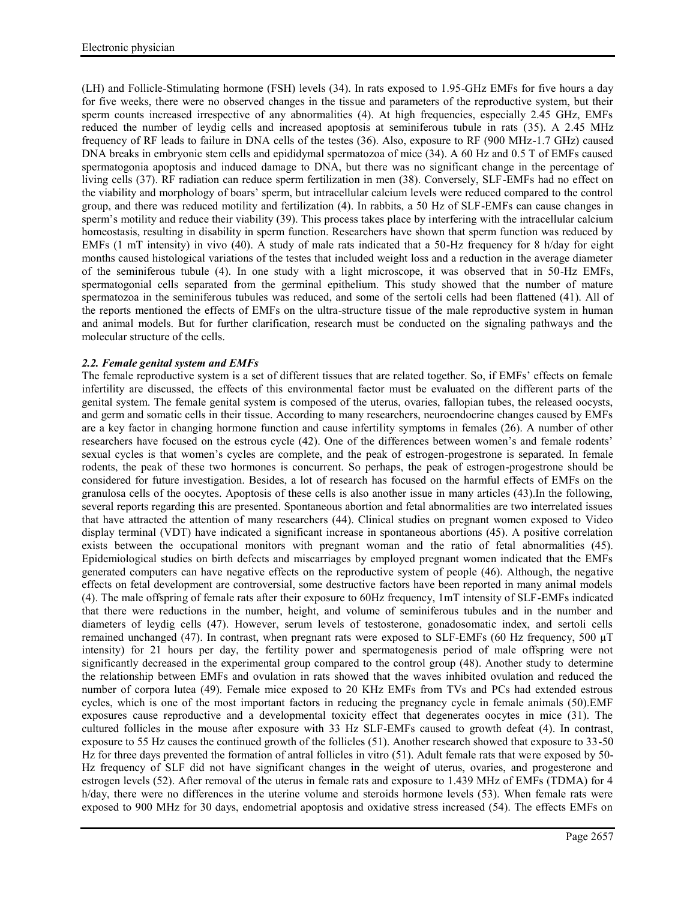(LH) and Follicle-Stimulating hormone (FSH) levels (34). In rats exposed to 1.95-GHz EMFs for five hours a day for five weeks, there were no observed changes in the tissue and parameters of the reproductive system, but their sperm counts increased irrespective of any abnormalities (4). At high frequencies, especially 2.45 GHz, EMFs reduced the number of leydig cells and increased apoptosis at seminiferous tubule in rats (35). A 2.45 MHz frequency of RF leads to failure in DNA cells of the testes (36). Also, exposure to RF (900 MHz-1.7 GHz) caused DNA breaks in embryonic stem cells and epididymal spermatozoa of mice (34). A 60 Hz and 0.5 T of EMFs caused spermatogonia apoptosis and induced damage to DNA, but there was no significant change in the percentage of living cells (37). RF radiation can reduce sperm fertilization in men (38). Conversely, SLF-EMFs had no effect on the viability and morphology of boars' sperm, but intracellular calcium levels were reduced compared to the control group, and there was reduced motility and fertilization (4). In rabbits, a 50 Hz of SLF-EMFs can cause changes in sperm's motility and reduce their viability (39). This process takes place by interfering with the intracellular calcium homeostasis, resulting in disability in sperm function. Researchers have shown that sperm function was reduced by EMFs (1 mT intensity) in vivo (40). A study of male rats indicated that a 50-Hz frequency for 8 h/day for eight months caused histological variations of the testes that included weight loss and a reduction in the average diameter of the seminiferous tubule (4). In one study with a light microscope, it was observed that in 50-Hz EMFs, spermatogonial cells separated from the germinal epithelium. This study showed that the number of mature spermatozoa in the seminiferous tubules was reduced, and some of the sertoli cells had been flattened (41). All of the reports mentioned the effects of EMFs on the ultra-structure tissue of the male reproductive system in human and animal models. But for further clarification, research must be conducted on the signaling pathways and the molecular structure of the cells.

# *2.2. Female genital system and EMFs*

The female reproductive system is a set of different tissues that are related together. So, if EMFs' effects on female infertility are discussed, the effects of this environmental factor must be evaluated on the different parts of the genital system. The female genital system is composed of the uterus, ovaries, fallopian tubes, the released oocysts, and germ and somatic cells in their tissue. According to many researchers, neuroendocrine changes caused by EMFs are a key factor in changing hormone function and cause infertility symptoms in females (26). A number of other researchers have focused on the estrous cycle (42). One of the differences between women's and female rodents' sexual cycles is that women's cycles are complete, and the peak of estrogen-progestrone is separated. In female rodents, the peak of these two hormones is concurrent. So perhaps, the peak of estrogen-progestrone should be considered for future investigation. Besides, a lot of research has focused on the harmful effects of EMFs on the granulosa cells of the oocytes. Apoptosis of these cells is also another issue in many articles (43).In the following, several reports regarding this are presented. Spontaneous abortion and fetal abnormalities are two interrelated issues that have attracted the attention of many researchers (44). Clinical studies on pregnant women exposed to Video display terminal (VDT) have indicated a significant increase in spontaneous abortions (45). A positive correlation exists between the occupational monitors with pregnant woman and the ratio of fetal abnormalities (45). Epidemiological studies on birth defects and miscarriages by employed pregnant women indicated that the EMFs generated computers can have negative effects on the reproductive system of people (46). Although, the negative effects on fetal development are controversial, some destructive factors have been reported in many animal models (4). The male offspring of female rats after their exposure to 60Hz frequency, 1mT intensity of SLF-EMFs indicated that there were reductions in the number, height, and volume of seminiferous tubules and in the number and diameters of leydig cells (47). However, serum levels of testosterone, gonadosomatic index, and sertoli cells remained unchanged (47). In contrast, when pregnant rats were exposed to SLF-EMFs (60 Hz frequency, 500 µT intensity) for 21 hours per day, the fertility power and spermatogenesis period of male offspring were not significantly decreased in the experimental group compared to the control group (48). Another study to determine the relationship between EMFs and ovulation in rats showed that the waves inhibited ovulation and reduced the number of corpora lutea (49). Female mice exposed to 20 KHz EMFs from TVs and PCs had extended estrous cycles, which is one of the most important factors in reducing the pregnancy cycle in female animals (50).EMF exposures cause reproductive and a developmental toxicity effect that degenerates oocytes in mice (31). The cultured follicles in the mouse after exposure with 33 Hz SLF-EMFs caused to growth defeat (4). In contrast, exposure to 55 Hz causes the continued growth of the follicles (51). Another research showed that exposure to 33-50 Hz for three days prevented the formation of antral follicles in vitro (51). Adult female rats that were exposed by 50- Hz frequency of SLF did not have significant changes in the weight of uterus, ovaries, and progesterone and estrogen levels (52). After removal of the uterus in female rats and exposure to 1.439 MHz of EMFs (TDMA) for 4 h/day, there were no differences in the uterine volume and steroids hormone levels (53). When female rats were exposed to 900 MHz for 30 days, endometrial apoptosis and oxidative stress increased (54). The effects EMFs on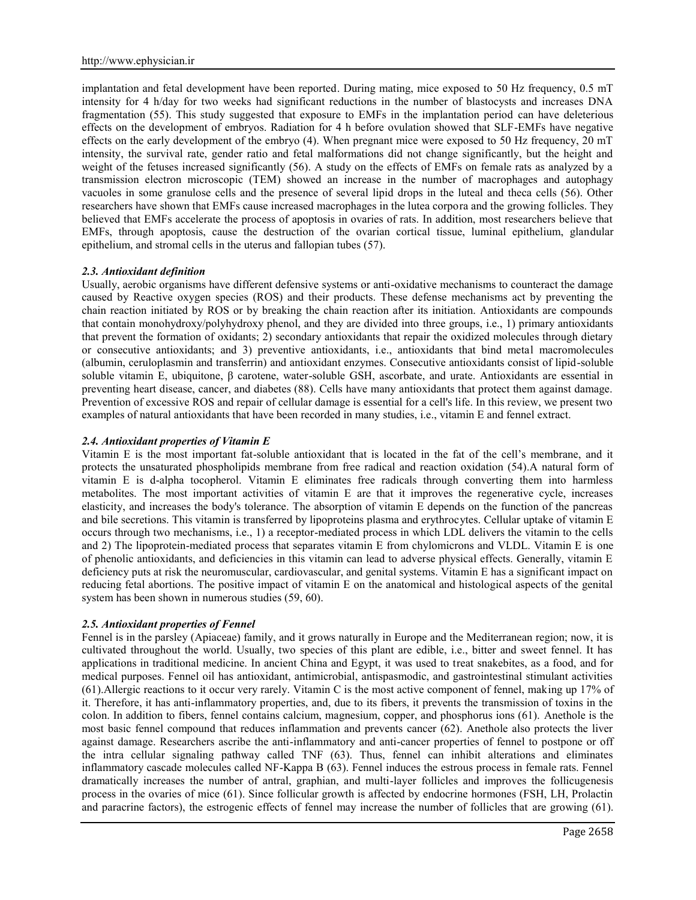implantation and fetal development have been reported. During mating, mice exposed to 50 Hz frequency, 0.5 mT intensity for 4 h/day for two weeks had significant reductions in the number of blastocysts and increases DNA fragmentation (55). This study suggested that exposure to EMFs in the implantation period can have deleterious effects on the development of embryos. Radiation for 4 h before ovulation showed that SLF-EMFs have negative effects on the early development of the embryo (4). When pregnant mice were exposed to 50 Hz frequency, 20 mT intensity, the survival rate, gender ratio and fetal malformations did not change significantly, but the height and weight of the fetuses increased significantly (56). A study on the effects of EMFs on female rats as analyzed by a transmission electron microscopic (TEM) showed an increase in the number of macrophages and autophagy vacuoles in some granulose cells and the presence of several lipid drops in the luteal and theca cells (56). Other researchers have shown that EMFs cause increased macrophages in the lutea corpora and the growing follicles. They believed that EMFs accelerate the process of apoptosis in ovaries of rats. In addition, most researchers believe that EMFs, through apoptosis, cause the destruction of the ovarian cortical tissue, luminal epithelium, glandular epithelium, and stromal cells in the uterus and fallopian tubes (57).

## *2.3. Antioxidant definition*

Usually, aerobic organisms have different defensive systems or anti-oxidative mechanisms to counteract the damage caused by Reactive oxygen species (ROS) and their products. These defense mechanisms act by preventing the chain reaction initiated by ROS or by breaking the chain reaction after its initiation. Antioxidants are compounds that contain monohydroxy/polyhydroxy phenol, and they are divided into three groups, i.e., 1) primary antioxidants that prevent the formation of oxidants; 2) secondary antioxidants that repair the oxidized molecules through dietary or consecutive antioxidants; and 3) preventive antioxidants, i.e., antioxidants that bind metal macromolecules (albumin, ceruloplasmin and transferrin) and antioxidant enzymes. Consecutive antioxidants consist of lipid-soluble soluble vitamin E, ubiquitone, β carotene, water-soluble GSH, ascorbate, and urate. Antioxidants are essential in preventing heart disease, cancer, and diabetes (88). Cells have many antioxidants that protect them against damage. Prevention of excessive ROS and repair of cellular damage is essential for a cell's life. In this review, we present two examples of natural antioxidants that have been recorded in many studies, i.e., vitamin E and fennel extract.

# *2.4. Antioxidant properties of Vitamin E*

Vitamin E is the most important fat-soluble antioxidant that is located in the fat of the cell's membrane, and it protects the unsaturated phospholipids membrane from free radical and reaction oxidation (54).A natural form of vitamin E is d-alpha tocopherol. Vitamin E eliminates free radicals through converting them into harmless metabolites. The most important activities of vitamin E are that it improves the regenerative cycle, increases elasticity, and increases the body's tolerance. The absorption of vitamin E depends on the function of the pancreas and bile secretions. This vitamin is transferred by lipoproteins plasma and erythrocytes. Cellular uptake of vitamin E occurs through two mechanisms, i.e., 1) a receptor-mediated process in which LDL delivers the vitamin to the cells and 2) The lipoprotein-mediated process that separates vitamin E from chylomicrons and VLDL. Vitamin E is one of phenolic antioxidants, and deficiencies in this vitamin can lead to adverse physical effects. Generally, vitamin E deficiency puts at risk the neuromuscular, cardiovascular, and genital systems. Vitamin E has a significant impact on reducing fetal abortions. The positive impact of vitamin E on the anatomical and histological aspects of the genital system has been shown in numerous studies (59, 60).

# *2.5. Antioxidant properties of Fennel*

Fennel is in the parsley (Apiaceae) family, and it grows naturally in Europe and the Mediterranean region; now, it is cultivated throughout the world. Usually, two species of this plant are edible, i.e., bitter and sweet fennel. It has applications in traditional medicine. In ancient China and Egypt, it was used to treat snakebites, as a food, and for medical purposes. Fennel oil has antioxidant, antimicrobial, antispasmodic, and gastrointestinal stimulant activities (61).Allergic reactions to it occur very rarely. Vitamin C is the most active component of fennel, making up 17% of it. Therefore, it has anti-inflammatory properties, and, due to its fibers, it prevents the transmission of toxins in the colon. In addition to fibers, fennel contains calcium, magnesium, copper, and phosphorus ions (61). Anethole is the most basic fennel compound that reduces inflammation and prevents cancer (62). Anethole also protects the liver against damage. Researchers ascribe the anti-inflammatory and anti-cancer properties of fennel to postpone or off the intra cellular signaling pathway called TNF (63). Thus, fennel can inhibit alterations and eliminates inflammatory cascade molecules called NF-Kappa B (63). Fennel induces the estrous process in female rats. Fennel dramatically increases the number of antral, graphian, and multi-layer follicles and improves the follicugenesis process in the ovaries of mice (61). Since follicular growth is affected by endocrine hormones (FSH, LH, Prolactin and paracrine factors), the estrogenic effects of fennel may increase the number of follicles that are growing (61).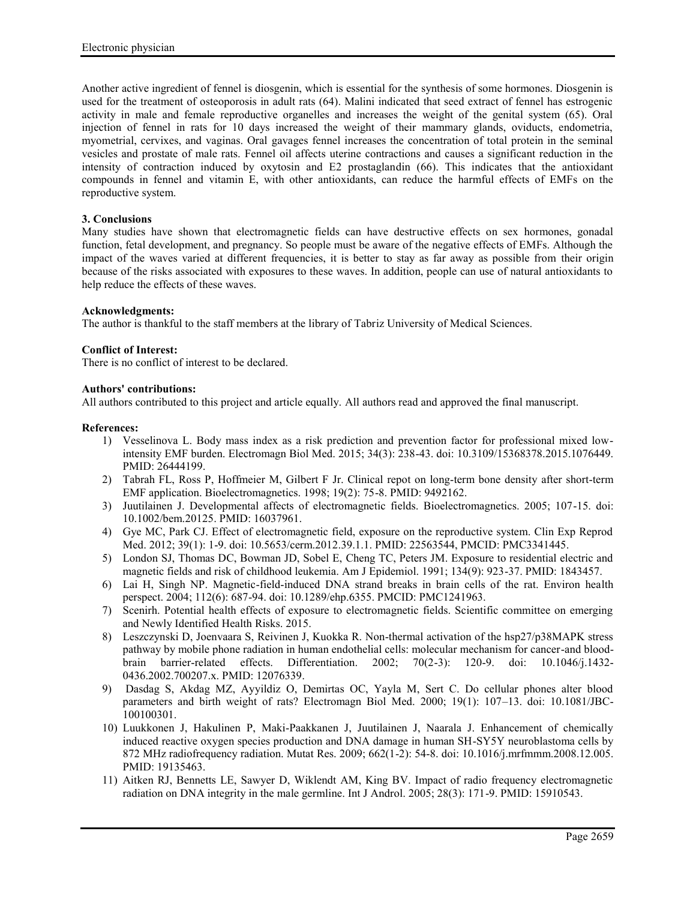Another active ingredient of fennel is diosgenin, which is essential for the synthesis of some hormones. Diosgenin is used for the treatment of osteoporosis in adult rats (64). Malini indicated that seed extract of fennel has estrogenic activity in male and female reproductive organelles and increases the weight of the genital system (65). Oral injection of fennel in rats for 10 days increased the weight of their mammary glands, oviducts, endometria, myometrial, cervixes, and vaginas. Oral gavages fennel increases the concentration of total protein in the seminal vesicles and prostate of male rats. Fennel oil affects uterine contractions and causes a significant reduction in the intensity of contraction induced by oxytosin and E2 prostaglandin (66). This indicates that the antioxidant compounds in fennel and vitamin E, with other antioxidants, can reduce the harmful effects of EMFs on the reproductive system.

## **3. Conclusions**

Many studies have shown that electromagnetic fields can have destructive effects on sex hormones, gonadal function, fetal development, and pregnancy. So people must be aware of the negative effects of EMFs. Although the impact of the waves varied at different frequencies, it is better to stay as far away as possible from their origin because of the risks associated with exposures to these waves. In addition, people can use of natural antioxidants to help reduce the effects of these waves.

## **Acknowledgments:**

The author is thankful to the staff members at the library of Tabriz University of Medical Sciences.

## **Conflict of Interest:**

There is no conflict of interest to be declared.

#### **Authors' contributions:**

All authors contributed to this project and article equally. All authors read and approved the final manuscript.

#### **References:**

- 1) Vesselinova L. Body mass index as a risk prediction and prevention factor for professional mixed lowintensity EMF burden. Electromagn Biol Med. 2015; 34(3): 238-43. doi: 10.3109/15368378.2015.1076449. PMID: 26444199.
- 2) Tabrah FL, Ross P, Hoffmeier M, Gilbert F Jr. Clinical repot on long-term bone density after short-term EMF application. Bioelectromagnetics. 1998; 19(2): 75-8. PMID: 9492162.
- 3) Juutilainen J. Developmental affects of electromagnetic fields. Bioelectromagnetics. 2005; 107-15. doi: 10.1002/bem.20125. PMID: 16037961.
- 4) Gye MC, Park CJ. Effect of electromagnetic field, exposure on the reproductive system. Clin Exp Reprod Med. 2012; 39(1): 1-9. doi: 10.5653/cerm.2012.39.1.1. PMID: 22563544, PMCID: PMC3341445.
- 5) London SJ, Thomas DC, Bowman JD, Sobel E, Cheng TC, Peters JM. Exposure to residential electric and magnetic fields and risk of childhood leukemia. Am J Epidemiol. 1991; 134(9): 923-37. PMID: 1843457.
- 6) Lai H, Singh NP. Magnetic-field-induced DNA strand breaks in brain cells of the rat. Environ health perspect. 2004; 112(6): 687-94. doi: 10.1289/ehp.6355. PMCID: PMC1241963.
- 7) Scenirh. Potential health effects of exposure to electromagnetic fields. Scientific committee on emerging and Newly Identified Health Risks. 2015.
- 8) Leszczynski D, Joenvaara S, Reivinen J, Kuokka R. Non-thermal activation of the hsp27/p38MAPK stress pathway by mobile phone radiation in human endothelial cells: molecular mechanism for cancer-and blood brain barrier-related effects. Differentiation. 2002; 70(2-3): 120-9. doi: 10.1046/j.1432- 0436.2002.700207.x. PMID: 12076339.
- 9) Dasdag S, Akdag MZ, Ayyildiz O, Demirtas OC, Yayla M, Sert C. Do cellular phones alter blood parameters and birth weight of rats? Electromagn Biol Med. 2000; 19(1): 107–13. doi: 10.1081/JBC- 100100301.
- 10) Luukkonen J, Hakulinen P, Maki-Paakkanen J, Juutilainen J, Naarala J. Enhancement of chemically induced reactive oxygen species production and DNA damage in human SH-SY5Y neuroblastoma cells by 872 MHz radiofrequency radiation. Mutat Res. 2009; 662(1-2): 54-8. doi: 10.1016/j.mrfmmm.2008.12.005. PMID: 19135463.
- 11) Aitken RJ, Bennetts LE, Sawyer D, Wiklendt AM, King BV. Impact of radio frequency electromagnetic radiation on DNA integrity in the male germline. Int J Androl. 2005; 28(3): 171-9. PMID: 15910543.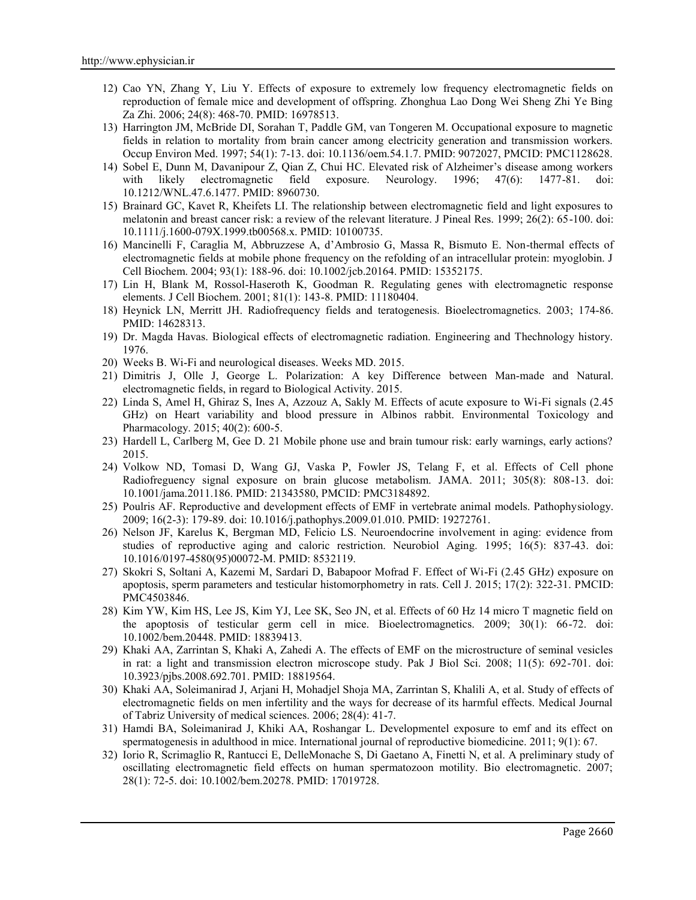- 12) Cao YN, Zhang Y, Liu Y. Effects of exposure to extremely low frequency electromagnetic fields on reproduction of female mice and development of offspring. Zhonghua Lao Dong Wei Sheng Zhi Ye Bing Za Zhi. 2006; 24(8): 468-70. PMID: 16978513.
- 13) Harrington JM, McBride DI, Sorahan T, Paddle GM, van Tongeren M. Occupational exposure to magnetic fields in relation to mortality from brain cancer among electricity generation and transmission workers. Occup Environ Med. 1997; 54(1): 7-13. doi: 10.1136/oem.54.1.7. PMID: 9072027, PMCID: PMC1128628.
- 14) Sobel E, Dunn M, Davanipour Z, Qian Z, Chui HC. Elevated risk of Alzheimer's disease among workers with likely electromagnetic field exposure. Neurology. 1996; 47(6): 1477-81. doi: 10.1212/WNL.47.6.1477. PMID: 8960730.
- 15) Brainard GC, Kavet R, Kheifets LI. The relationship between electromagnetic field and light exposures to melatonin and breast cancer risk: a review of the relevant literature. J Pineal Res. 1999; 26(2): 65-100. doi: 10.1111/j.1600-079X.1999.tb00568.x. PMID: 10100735.
- 16) Mancinelli F, Caraglia M, Abbruzzese A, d'Ambrosio G, Massa R, Bismuto E. Non-thermal effects of electromagnetic fields at mobile phone frequency on the refolding of an intracellular protein: myoglobin. J Cell Biochem. 2004; 93(1): 188-96. doi: 10.1002/jcb.20164. PMID: 15352175.
- 17) Lin H, Blank M, Rossol-Haseroth K, Goodman R. Regulating genes with electromagnetic response elements. J Cell Biochem. 2001; 81(1): 143-8. PMID: 11180404.
- 18) Heynick LN, Merritt JH. Radiofrequency fields and teratogenesis. Bioelectromagnetics. 2003; 174-86. PMID: 14628313.
- 19) Dr. Magda Havas. Biological effects of electromagnetic radiation. Engineering and Thechnology history. 1976.
- 20) Weeks B. Wi-Fi and neurological diseases. Weeks MD. 2015.
- 21) Dimitris J, Olle J, George L. Polarization: A key Difference between Man-made and Natural. electromagnetic fields, in regard to Biological Activity. 2015.
- 22) Linda S, Amel H, Ghiraz S, Ines A, Azzouz A, Sakly M. Effects of acute exposure to Wi-Fi signals (2.45 GHz) on Heart variability and blood pressure in Albinos rabbit. Environmental Toxicology and Pharmacology. 2015; 40(2): 600-5.
- 23) Hardell L, Carlberg M, Gee D. 21 Mobile phone use and brain tumour risk: early warnings, early actions? 2015.
- 24) Volkow ND, Tomasi D, Wang GJ, Vaska P, Fowler JS, Telang F, et al. Effects of Cell phone Radiofreguency signal exposure on brain glucose metabolism. JAMA. 2011; 305(8): 808-13. doi: 10.1001/jama.2011.186. PMID: 21343580, PMCID: PMC3184892.
- 25) Poulris AF. Reproductive and development effects of EMF in vertebrate animal models. Pathophysiology. 2009; 16(2-3): 179-89. doi: 10.1016/j.pathophys.2009.01.010. PMID: 19272761.
- 26) Nelson JF, Karelus K, Bergman MD, Felicio LS. Neuroendocrine involvement in aging: evidence from studies of reproductive aging and caloric restriction. Neurobiol Aging. 1995; 16(5): 837-43. doi: 10.1016/0197-4580(95)00072-M. PMID: 8532119.
- 27) Skokri S, Soltani A, Kazemi M, Sardari D, Babapoor Mofrad F. Effect of Wi-Fi (2.45 GHz) exposure on apoptosis, sperm parameters and testicular histomorphometry in rats. Cell J. 2015; 17(2): 322-31. PMCID: PMC4503846.
- 28) Kim YW, Kim HS, Lee JS, Kim YJ, Lee SK, Seo JN, et al. Effects of 60 Hz 14 micro T magnetic field on the apoptosis of testicular germ cell in mice. Bioelectromagnetics. 2009; 30(1): 66-72. doi: 10.1002/bem.20448. PMID: 18839413.
- 29) Khaki AA, Zarrintan S, Khaki A, Zahedi A. The effects of EMF on the microstructure of seminal vesicles in rat: a light and transmission electron microscope study. Pak J Biol Sci. 2008; 11(5): 692-701. doi: 10.3923/pjbs.2008.692.701. PMID: 18819564.
- 30) Khaki AA, Soleimanirad J, Arjani H, Mohadjel Shoja MA, Zarrintan S, Khalili A, et al. Study of effects of electromagnetic fields on men infertility and the ways for decrease of its harmful effects. Medical Journal of Tabriz University of medical sciences. 2006; 28(4): 41-7.
- 31) Hamdi BA, Soleimanirad J, Khiki AA, Roshangar L. Developmentel exposure to emf and its effect on spermatogenesis in adulthood in mice. International journal of reproductive biomedicine. 2011; 9(1): 67.
- 32) Iorio R, Scrimaglio R, Rantucci E, DelleMonache S, Di Gaetano A, Finetti N, et al. A preliminary study of oscillating electromagnetic field effects on human spermatozoon motility. Bio electromagnetic. 2007; 28(1): 72-5. doi: 10.1002/bem.20278. PMID: 17019728.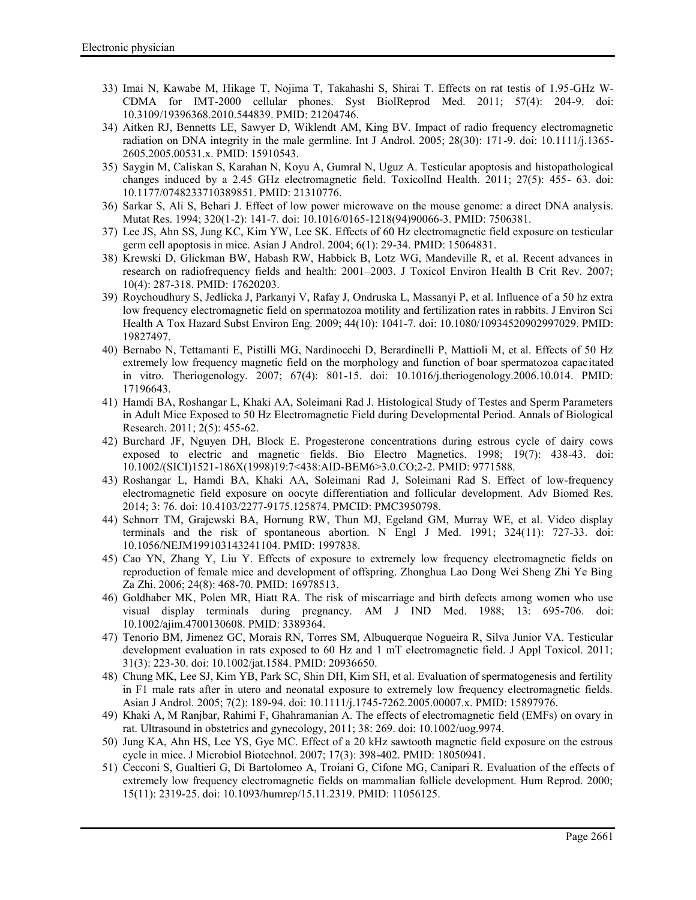- 33) Imai N, Kawabe M, Hikage T, Nojima T, Takahashi S, Shirai T. Effects on rat testis of 1.95-GHz W- CDMA for IMT-2000 cellular phones. Syst BiolReprod Med. 2011; 57(4): 204-9. doi: 10.3109/19396368.2010.544839. PMID: 21204746.
- 34) Aitken RJ, Bennetts LE, Sawyer D, Wiklendt AM, King BV. Impact of radio frequency electromagnetic radiation on DNA integrity in the male germline. Int J Androl. 2005; 28(30): 171-9. doi: 10.1111/j.1365- 2605.2005.00531.x. PMID: 15910543.
- 35) Saygin M, Caliskan S, Karahan N, Koyu A, Gumral N, Uguz A. Testicular apoptosis and histopathological changes induced by a 2.45 GHz electromagnetic field. ToxicolInd Health. 2011; 27(5): 455- 63. doi: 10.1177/0748233710389851. PMID: 21310776.
- 36) Sarkar S, Ali S, Behari J. Effect of low power microwave on the mouse genome: a direct DNA analysis. Mutat Res. 1994; 320(1-2): 141-7. doi: 10.1016/0165-1218(94)90066-3. PMID: 7506381.
- 37) Lee JS, Ahn SS, Jung KC, Kim YW, Lee SK. Effects of 60 Hz electromagnetic field exposure on testicular germ cell apoptosis in mice. Asian J Androl. 2004; 6(1): 29-34. PMID: 15064831.
- 38) Krewski D, Glickman BW, Habash RW, Habbick B, Lotz WG, Mandeville R, et al. Recent advances in research on radiofrequency fields and health: 2001–2003. J Toxicol Environ Health B Crit Rev. 2007; 10(4): 287-318. PMID: 17620203.
- 39) Roychoudhury S, Jedlicka J, Parkanyi V, Rafay J, Ondruska L, Massanyi P, et al. Influence of a 50 hz extra low frequency electromagnetic field on spermatozoa motility and fertilization rates in rabbits. J Environ Sci Health A Tox Hazard Subst Environ Eng. 2009; 44(10): 1041-7. doi: 10.1080/10934520902997029. PMID: 19827497.
- 40) Bernabo N, Tettamanti E, Pistilli MG, Nardinocchi D, Berardinelli P, Mattioli M, et al. Effects of 50 Hz extremely low frequency magnetic field on the morphology and function of boar spermatozoa capacitated in vitro. Theriogenology. 2007; 67(4): 801-15. doi: 10.1016/j.theriogenology.2006.10.014. PMID: 17196643.
- 41) Hamdi BA, Roshangar L, Khaki AA, Soleimani Rad J. Histological Study of Testes and Sperm Parameters in Adult Mice Exposed to 50 Hz Electromagnetic Field during Developmental Period. Annals of Biological Research. 2011; 2(5): 455-62.
- 42) Burchard JF, Nguyen DH, Block E. Progesterone concentrations during estrous cycle of dairy cows exposed to electric and magnetic fields. Bio Electro Magnetics. 1998; 19(7): 438-43. doi: 10.1002/(SICI)1521-186X(1998)19:7<438:AID-BEM6>3.0.CO;2-2. PMID: 9771588.
- 43) Roshangar L, Hamdi BA, Khaki AA, Soleimani Rad J, Soleimani Rad S. Effect of low-frequency electromagnetic field exposure on oocyte differentiation and follicular development. Adv Biomed Res. 2014; 3: 76. doi: 10.4103/2277-9175.125874. PMCID: PMC3950798.
- 44) Schnorr TM, Grajewski BA, Hornung RW, Thun MJ, Egeland GM, Murray WE, et al. Video display terminals and the risk of spontaneous abortion. N Engl J Med. 1991; 324(11): 727-33. doi: 10.1056/NEJM199103143241104. PMID: 1997838.
- 45) Cao YN, Zhang Y, Liu Y. Effects of exposure to extremely low frequency electromagnetic fields on reproduction of female mice and development of offspring. Zhonghua Lao Dong Wei Sheng Zhi Ye Bing Za Zhi. 2006; 24(8): 468-70. PMID: 16978513.
- 46) Goldhaber MK, Polen MR, Hiatt RA. The risk of miscarriage and birth defects among women who use visual display terminals during pregnancy. AM J IND Med. 1988; 13: 695-706. doi: 10.1002/ajim.4700130608. PMID: 3389364.
- 47) Tenorio BM, Jimenez GC, Morais RN, Torres SM, Albuquerque Nogueira R, Silva Junior VA. Testicular development evaluation in rats exposed to 60 Hz and 1 mT electromagnetic field. J Appl Toxicol. 2011; 31(3): 223-30. doi: 10.1002/jat.1584. PMID: 20936650.
- 48) Chung MK, Lee SJ, Kim YB, Park SC, Shin DH, Kim SH, et al. Evaluation of spermatogenesis and fertility in F1 male rats after in utero and neonatal exposure to extremely low frequency electromagnetic fields. Asian J Androl. 2005; 7(2): 189-94. doi: 10.1111/j.1745-7262.2005.00007.x. PMID: 15897976.
- 49) Khaki A, M Ranjbar, Rahimi F, Ghahramanian A. The effects of electromagnetic field (EMFs) on ovary in rat. Ultrasound in obstetrics and gynecology, 2011; 38: 269. doi: 10.1002/uog.9974.
- 50) Jung KA, Ahn HS, Lee YS, Gye MC. Effect of a 20 kHz sawtooth magnetic field exposure on the estrous cycle in mice. J Microbiol Biotechnol. 2007; 17(3): 398-402. PMID: 18050941.
- 51) Cecconi S, Gualtieri G, Di Bartolomeo A, Troiani G, Cifone MG, Canipari R. Evaluation of the effects of extremely low frequency electromagnetic fields on mammalian follicle development. Hum Reprod. 2000; 15(11): 2319-25. doi: 10.1093/humrep/15.11.2319. PMID: 11056125.